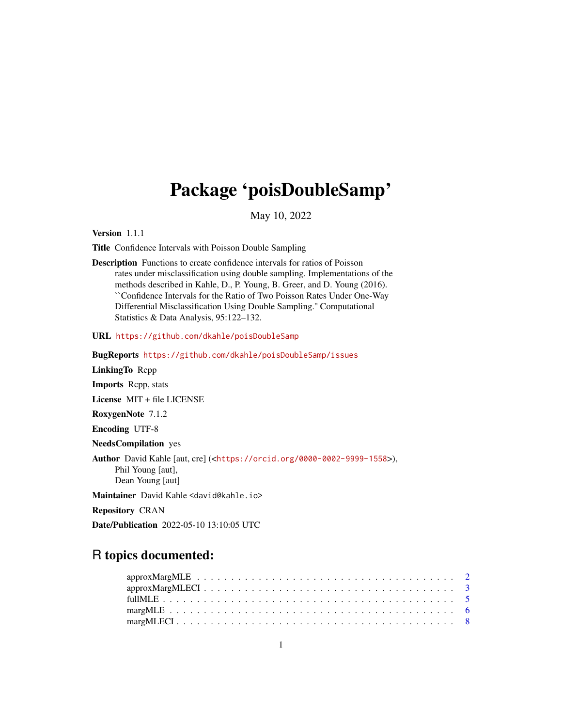## Package 'poisDoubleSamp'

May 10, 2022

Version 1.1.1

Title Confidence Intervals with Poisson Double Sampling

Description Functions to create confidence intervals for ratios of Poisson rates under misclassification using double sampling. Implementations of the methods described in Kahle, D., P. Young, B. Greer, and D. Young (2016). ``Confidence Intervals for the Ratio of Two Poisson Rates Under One-Way Differential Misclassification Using Double Sampling.'' Computational Statistics & Data Analysis, 95:122–132.

URL <https://github.com/dkahle/poisDoubleSamp>

BugReports <https://github.com/dkahle/poisDoubleSamp/issues>

LinkingTo Rcpp

Imports Rcpp, stats

License MIT + file LICENSE

RoxygenNote 7.1.2

Encoding UTF-8

NeedsCompilation yes

Author David Kahle [aut, cre] (<<https://orcid.org/0000-0002-9999-1558>>), Phil Young [aut], Dean Young [aut]

Maintainer David Kahle <david@kahle.io>

Repository CRAN

Date/Publication 2022-05-10 13:10:05 UTC

## R topics documented: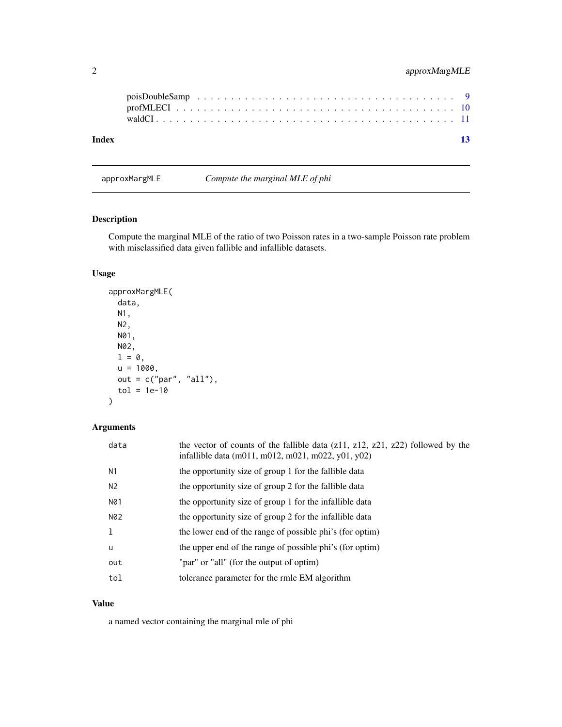<span id="page-1-0"></span>

| Index |  |  |  |  |  |  |  |  |  |  |  |  |  |  |  |  | $\overline{13}$ |
|-------|--|--|--|--|--|--|--|--|--|--|--|--|--|--|--|--|-----------------|
|       |  |  |  |  |  |  |  |  |  |  |  |  |  |  |  |  |                 |

approxMargMLE *Compute the marginal MLE of phi*

## Description

Compute the marginal MLE of the ratio of two Poisson rates in a two-sample Poisson rate problem with misclassified data given fallible and infallible datasets.

## Usage

```
approxMargMLE(
  data,
  N1,
  N2,
  N01,
  N02,
  1 = 0,
  u = 1000,out = c("par", "all"),tol = 1e-10\mathcal{E}
```
## Arguments

| data | the vector of counts of the fallible data $(z11, z12, z21, z22)$ followed by the<br>infallible data (m011, m012, m021, m022, y01, y02) |
|------|----------------------------------------------------------------------------------------------------------------------------------------|
| N1   | the opportunity size of group 1 for the fallible data                                                                                  |
| N2   | the opportunity size of group 2 for the fallible data                                                                                  |
| N01  | the opportunity size of group 1 for the infallible data                                                                                |
| N02  | the opportunity size of group 2 for the infallible data                                                                                |
| 1    | the lower end of the range of possible phi's (for optim)                                                                               |
| u    | the upper end of the range of possible phi's (for optim)                                                                               |
| out  | "par" or "all" (for the output of optim)                                                                                               |
| tol  | tolerance parameter for the rmle EM algorithm                                                                                          |

#### Value

a named vector containing the marginal mle of phi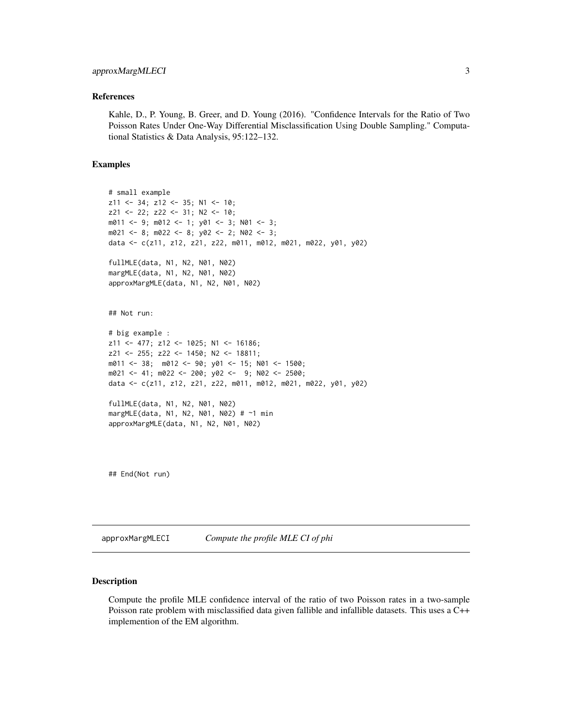#### <span id="page-2-0"></span>References

Kahle, D., P. Young, B. Greer, and D. Young (2016). "Confidence Intervals for the Ratio of Two Poisson Rates Under One-Way Differential Misclassification Using Double Sampling." Computational Statistics & Data Analysis, 95:122–132.

#### Examples

```
# small example
z11 <- 34; z12 <- 35; N1 <- 10;
z21 <- 22; z22 <- 31; N2 <- 10;
m011 <- 9; m012 <- 1; y01 <- 3; N01 <- 3;
m021 <- 8; m022 <- 8; y02 <- 2; N02 <- 3;
data <- c(z11, z12, z21, z22, m011, m012, m021, m022, y01, y02)
fullMLE(data, N1, N2, N01, N02)
margMLE(data, N1, N2, N01, N02)
approxMargMLE(data, N1, N2, N01, N02)
## Not run:
# big example :
z11 <- 477; z12 <- 1025; N1 <- 16186;
z21 <- 255; z22 <- 1450; N2 <- 18811;
m011 <- 38; m012 <- 90; y01 <- 15; N01 <- 1500;
m021 <- 41; m022 <- 200; y02 <- 9; N02 <- 2500;
data <- c(z11, z12, z21, z22, m011, m012, m021, m022, y01, y02)
fullMLE(data, N1, N2, N01, N02)
margMLE(data, N1, N2, N01, N02) # ~1 min
approxMargMLE(data, N1, N2, N01, N02)
```
## End(Not run)

approxMargMLECI *Compute the profile MLE CI of phi*

#### Description

Compute the profile MLE confidence interval of the ratio of two Poisson rates in a two-sample Poisson rate problem with misclassified data given fallible and infallible datasets. This uses a C++ implemention of the EM algorithm.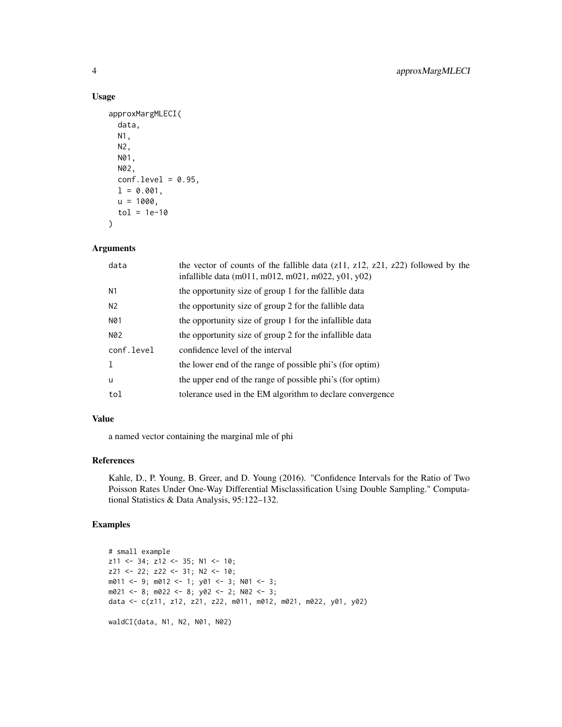#### Usage

```
approxMargMLECI(
 data,
 N1,
 N2,
 N01,
 N02,
 conf. level = 0.95,
 1 = 0.001,u = 1000,tol = 1e-10\lambda
```
#### Arguments

| data           | the vector of counts of the fallible data $(z11, z12, z21, z22)$ followed by the<br>infallible data (m011, m012, m021, m022, y01, y02) |
|----------------|----------------------------------------------------------------------------------------------------------------------------------------|
| N1             | the opportunity size of group 1 for the fallible data                                                                                  |
| N <sub>2</sub> | the opportunity size of group 2 for the fallible data                                                                                  |
| N01            | the opportunity size of group 1 for the infallible data                                                                                |
| N02            | the opportunity size of group 2 for the infallible data                                                                                |
| conf.level     | confidence level of the interval                                                                                                       |
|                | the lower end of the range of possible phi's (for optim)                                                                               |
| u              | the upper end of the range of possible phi's (for optim)                                                                               |
| tol            | tolerance used in the EM algorithm to declare convergence                                                                              |

#### Value

a named vector containing the marginal mle of phi

## References

Kahle, D., P. Young, B. Greer, and D. Young (2016). "Confidence Intervals for the Ratio of Two Poisson Rates Under One-Way Differential Misclassification Using Double Sampling." Computational Statistics & Data Analysis, 95:122–132.

## Examples

```
# small example
z11 <- 34; z12 <- 35; N1 <- 10;
z21 <- 22; z22 <- 31; N2 <- 10;
m011 <- 9; m012 <- 1; y01 <- 3; N01 <- 3;
m021 <- 8; m022 <- 8; y02 <- 2; N02 <- 3;
data <- c(z11, z12, z21, z22, m011, m012, m021, m022, y01, y02)
waldCI(data, N1, N2, N01, N02)
```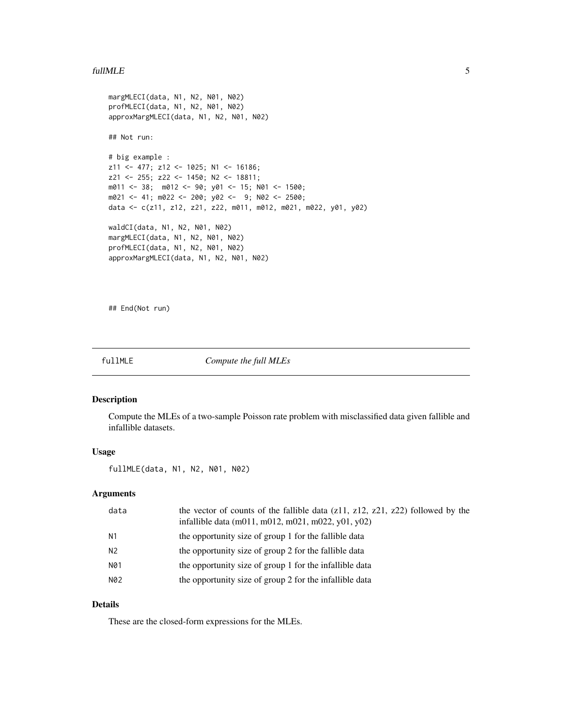#### <span id="page-4-0"></span>full MLE 5

```
margMLECI(data, N1, N2, N01, N02)
profMLECI(data, N1, N2, N01, N02)
approxMargMLECI(data, N1, N2, N01, N02)
## Not run:
# big example :
z11 <- 477; z12 <- 1025; N1 <- 16186;
z21 <- 255; z22 <- 1450; N2 <- 18811;
m011 <- 38; m012 <- 90; y01 <- 15; N01 <- 1500;
m021 <- 41; m022 <- 200; y02 <- 9; N02 <- 2500;
data <- c(z11, z12, z21, z22, m011, m012, m021, m022, y01, y02)
waldCI(data, N1, N2, N01, N02)
margMLECI(data, N1, N2, N01, N02)
profMLECI(data, N1, N2, N01, N02)
approxMargMLECI(data, N1, N2, N01, N02)
```
## End(Not run)

fullMLE *Compute the full MLEs*

#### Description

Compute the MLEs of a two-sample Poisson rate problem with misclassified data given fallible and infallible datasets.

#### Usage

fullMLE(data, N1, N2, N01, N02)

#### Arguments

| data | the vector of counts of the fallible data $(z11, z12, z21, z22)$ followed by the<br>infallible data (m011, m012, m021, m022, y01, y02) |
|------|----------------------------------------------------------------------------------------------------------------------------------------|
| N1   | the opportunity size of group 1 for the fallible data                                                                                  |
| N2   | the opportunity size of group 2 for the fallible data                                                                                  |
| N01  | the opportunity size of group 1 for the infallible data                                                                                |
| N02  | the opportunity size of group 2 for the infallible data                                                                                |
|      |                                                                                                                                        |

## Details

These are the closed-form expressions for the MLEs.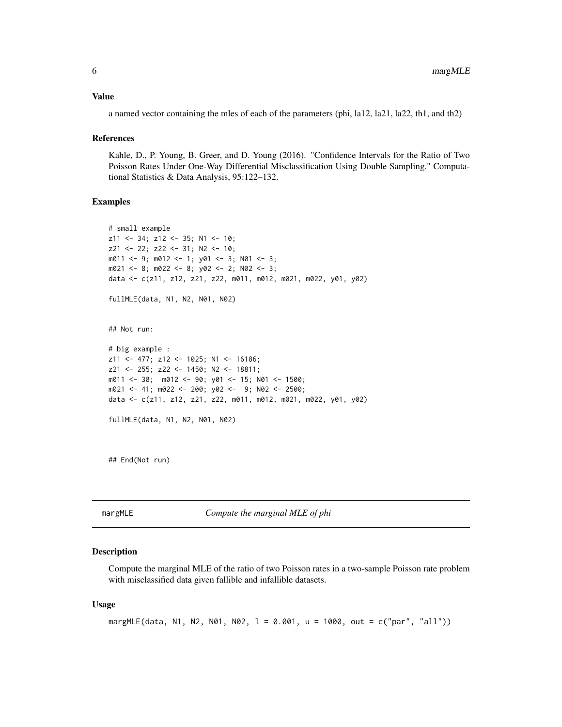#### <span id="page-5-0"></span>Value

a named vector containing the mles of each of the parameters (phi, la12, la21, la22, th1, and th2)

#### References

Kahle, D., P. Young, B. Greer, and D. Young (2016). "Confidence Intervals for the Ratio of Two Poisson Rates Under One-Way Differential Misclassification Using Double Sampling." Computational Statistics & Data Analysis, 95:122–132.

## Examples

```
# small example
z11 <- 34; z12 <- 35; N1 <- 10;
z21 <- 22; z22 <- 31; N2 <- 10;
m011 <- 9; m012 <- 1; y01 <- 3; N01 <- 3;
m021 \le -8; m022 \le -8; y02 \le -2; N02 \le -3;
data <- c(z11, z12, z21, z22, m011, m012, m021, m022, y01, y02)
fullMLE(data, N1, N2, N01, N02)
## Not run:
# big example :
z11 <- 477; z12 <- 1025; N1 <- 16186;
z21 <- 255; z22 <- 1450; N2 <- 18811;
m011 <- 38; m012 <- 90; y01 <- 15; N01 <- 1500;
m021 <- 41; m022 <- 200; y02 <- 9; N02 <- 2500;
data <- c(z11, z12, z21, z22, m011, m012, m021, m022, y01, y02)
fullMLE(data, N1, N2, N01, N02)
```
## End(Not run)

margMLE *Compute the marginal MLE of phi*

#### Description

Compute the marginal MLE of the ratio of two Poisson rates in a two-sample Poisson rate problem with misclassified data given fallible and infallible datasets.

#### Usage

```
margMLE(data, N1, N2, N01, N02, l = 0.001, u = 1000, out = c("par", "all"))
```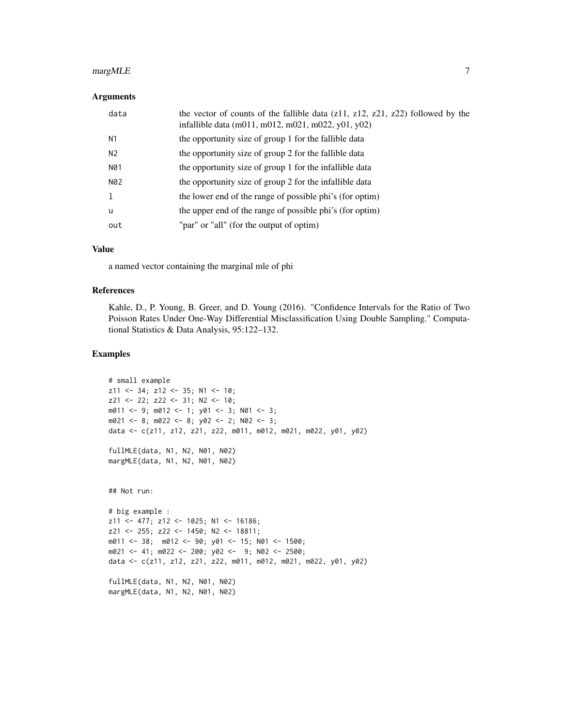## margMLE 7

#### Arguments

| data           | the vector of counts of the fallible data $(z11, z12, z21, z22)$ followed by the<br>infallible data (m011, m012, m021, m022, y01, y02) |
|----------------|----------------------------------------------------------------------------------------------------------------------------------------|
| N1             | the opportunity size of group 1 for the fallible data                                                                                  |
| N <sub>2</sub> | the opportunity size of group 2 for the fallible data                                                                                  |
| N01            | the opportunity size of group 1 for the infallible data                                                                                |
| N02            | the opportunity size of group 2 for the infallible data                                                                                |
| -1             | the lower end of the range of possible phi's (for optim)                                                                               |
| $\mathbf u$    | the upper end of the range of possible phi's (for optim)                                                                               |
| out            | "par" or "all" (for the output of optim)                                                                                               |

#### Value

a named vector containing the marginal mle of phi

#### References

Kahle, D., P. Young, B. Greer, and D. Young (2016). "Confidence Intervals for the Ratio of Two Poisson Rates Under One-Way Differential Misclassification Using Double Sampling." Computational Statistics & Data Analysis, 95:122–132.

#### Examples

```
# small example
z11 <- 34; z12 <- 35; N1 <- 10;
z21 <- 22; z22 <- 31; N2 <- 10;
m011 <- 9; m012 <- 1; y01 <- 3; N01 <- 3;
m021 <- 8; m022 <- 8; y02 <- 2; N02 <- 3;
data <- c(z11, z12, z21, z22, m011, m012, m021, m022, y01, y02)
fullMLE(data, N1, N2, N01, N02)
margMLE(data, N1, N2, N01, N02)
## Not run:
# big example :
z11 <- 477; z12 <- 1025; N1 <- 16186;
z21 <- 255; z22 <- 1450; N2 <- 18811;
m011 <- 38; m012 <- 90; y01 <- 15; N01 <- 1500;
m021 <- 41; m022 <- 200; y02 <- 9; N02 <- 2500;
data <- c(z11, z12, z21, z22, m011, m012, m021, m022, y01, y02)
fullMLE(data, N1, N2, N01, N02)
```
margMLE(data, N1, N2, N01, N02)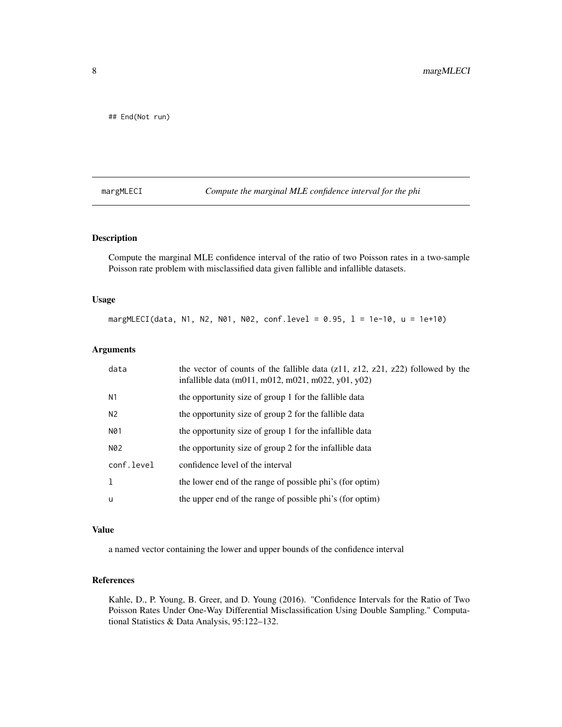<span id="page-7-0"></span>## End(Not run)

margMLECI *Compute the marginal MLE confidence interval for the phi*

## Description

Compute the marginal MLE confidence interval of the ratio of two Poisson rates in a two-sample Poisson rate problem with misclassified data given fallible and infallible datasets.

#### Usage

margMLECI(data, N1, N2, N01, N02, conf.level = 0.95, l = 1e-10, u = 1e+10)

### Arguments

| data       | the vector of counts of the fallible data $(z11, z12, z21, z22)$ followed by the<br>infallible data (m011, m012, m021, m022, y01, y02) |
|------------|----------------------------------------------------------------------------------------------------------------------------------------|
| N1         | the opportunity size of group 1 for the fallible data                                                                                  |
| N2         | the opportunity size of group 2 for the fallible data                                                                                  |
| N01        | the opportunity size of group 1 for the infallible data                                                                                |
| N02        | the opportunity size of group 2 for the infallible data                                                                                |
| conf.level | confidence level of the interval                                                                                                       |
|            | the lower end of the range of possible phi's (for optim)                                                                               |
| u          | the upper end of the range of possible phi's (for optim)                                                                               |

## Value

a named vector containing the lower and upper bounds of the confidence interval

#### References

Kahle, D., P. Young, B. Greer, and D. Young (2016). "Confidence Intervals for the Ratio of Two Poisson Rates Under One-Way Differential Misclassification Using Double Sampling." Computational Statistics & Data Analysis, 95:122–132.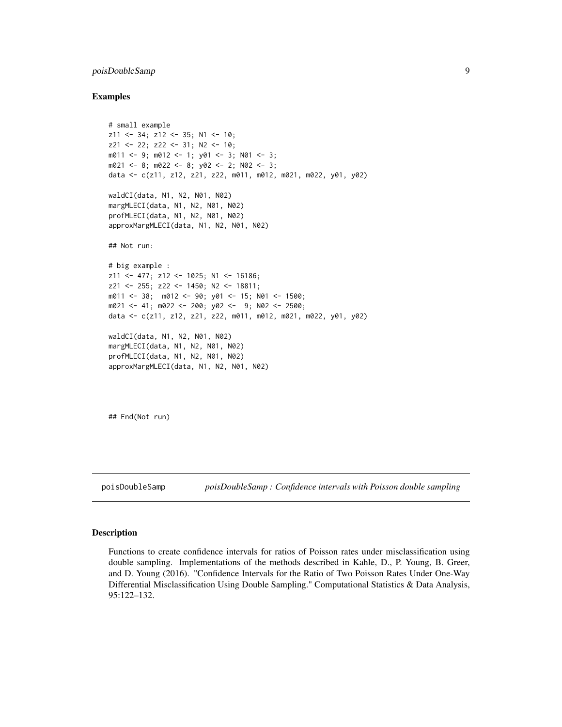## <span id="page-8-0"></span>poisDoubleSamp 9

#### Examples

```
# small example
z11 <- 34; z12 <- 35; N1 <- 10;
z21 <- 22; z22 <- 31; N2 <- 10;
m011 <- 9; m012 <- 1; y01 <- 3; N01 <- 3;
m021 <- 8; m022 <- 8; y02 <- 2; N02 <- 3;
data <- c(z11, z12, z21, z22, m011, m012, m021, m022, y01, y02)
waldCI(data, N1, N2, N01, N02)
margMLECI(data, N1, N2, N01, N02)
profMLECI(data, N1, N2, N01, N02)
approxMargMLECI(data, N1, N2, N01, N02)
## Not run:
# big example :
z11 <- 477; z12 <- 1025; N1 <- 16186;
z21 <- 255; z22 <- 1450; N2 <- 18811;
m011 <- 38; m012 <- 90; y01 <- 15; N01 <- 1500;
m021 <- 41; m022 <- 200; y02 <- 9; N02 <- 2500;
data <- c(z11, z12, z21, z22, m011, m012, m021, m022, y01, y02)
waldCI(data, N1, N2, N01, N02)
margMLECI(data, N1, N2, N01, N02)
profMLECI(data, N1, N2, N01, N02)
approxMargMLECI(data, N1, N2, N01, N02)
```
## End(Not run)

poisDoubleSamp *poisDoubleSamp : Confidence intervals with Poisson double sampling*

#### **Description**

Functions to create confidence intervals for ratios of Poisson rates under misclassification using double sampling. Implementations of the methods described in Kahle, D., P. Young, B. Greer, and D. Young (2016). "Confidence Intervals for the Ratio of Two Poisson Rates Under One-Way Differential Misclassification Using Double Sampling." Computational Statistics & Data Analysis, 95:122–132.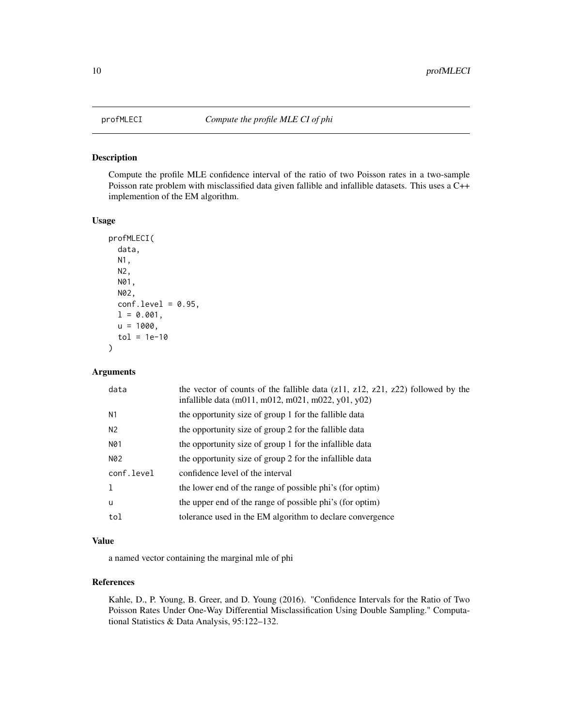<span id="page-9-0"></span>

## Description

Compute the profile MLE confidence interval of the ratio of two Poisson rates in a two-sample Poisson rate problem with misclassified data given fallible and infallible datasets. This uses a C++ implemention of the EM algorithm.

#### Usage

```
profMLECI(
  data,
 N1,
 N2,
 N01,
 N02,
  conf. level = 0.95,1 = 0.001,u = 1000,tol = 1e-10)
```
## Arguments

| data           | the vector of counts of the fallible data $(z11, z12, z21, z22)$ followed by the<br>infallible data (m011, m012, m021, m022, y01, y02) |
|----------------|----------------------------------------------------------------------------------------------------------------------------------------|
| N <sub>1</sub> | the opportunity size of group 1 for the fallible data                                                                                  |
| N <sub>2</sub> | the opportunity size of group 2 for the fallible data                                                                                  |
| N01            | the opportunity size of group 1 for the infallible data                                                                                |
| N02            | the opportunity size of group 2 for the infallible data                                                                                |
| conf.level     | confidence level of the interval                                                                                                       |
|                | the lower end of the range of possible phi's (for optim)                                                                               |
| u              | the upper end of the range of possible phi's (for optim)                                                                               |
| tol            | tolerance used in the EM algorithm to declare convergence                                                                              |
|                |                                                                                                                                        |

## Value

a named vector containing the marginal mle of phi

## References

Kahle, D., P. Young, B. Greer, and D. Young (2016). "Confidence Intervals for the Ratio of Two Poisson Rates Under One-Way Differential Misclassification Using Double Sampling." Computational Statistics & Data Analysis, 95:122–132.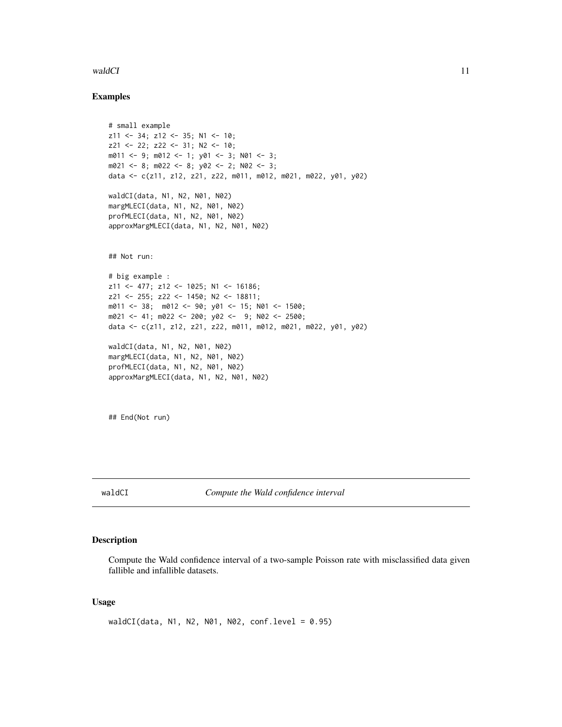#### <span id="page-10-0"></span>waldCI 11

#### Examples

```
# small example
z11 <- 34; z12 <- 35; N1 <- 10;
z21 <- 22; z22 <- 31; N2 <- 10;
m011 <- 9; m012 <- 1; y01 <- 3; N01 <- 3;
m021 <- 8; m022 <- 8; y02 <- 2; N02 <- 3;
data <- c(z11, z12, z21, z22, m011, m012, m021, m022, y01, y02)
waldCI(data, N1, N2, N01, N02)
margMLECI(data, N1, N2, N01, N02)
profMLECI(data, N1, N2, N01, N02)
approxMargMLECI(data, N1, N2, N01, N02)
## Not run:
# big example :
z11 <- 477; z12 <- 1025; N1 <- 16186;
z21 <- 255; z22 <- 1450; N2 <- 18811;
m011 <- 38; m012 <- 90; y01 <- 15; N01 <- 1500;
m021 <- 41; m022 <- 200; y02 <- 9; N02 <- 2500;
data <- c(z11, z12, z21, z22, m011, m012, m021, m022, y01, y02)
waldCI(data, N1, N2, N01, N02)
margMLECI(data, N1, N2, N01, N02)
profMLECI(data, N1, N2, N01, N02)
approxMargMLECI(data, N1, N2, N01, N02)
```
## End(Not run)

waldCI *Compute the Wald confidence interval*

## Description

Compute the Wald confidence interval of a two-sample Poisson rate with misclassified data given fallible and infallible datasets.

#### Usage

```
waldCI(data, N1, N2, N01, N02, conf.level = 0.95)
```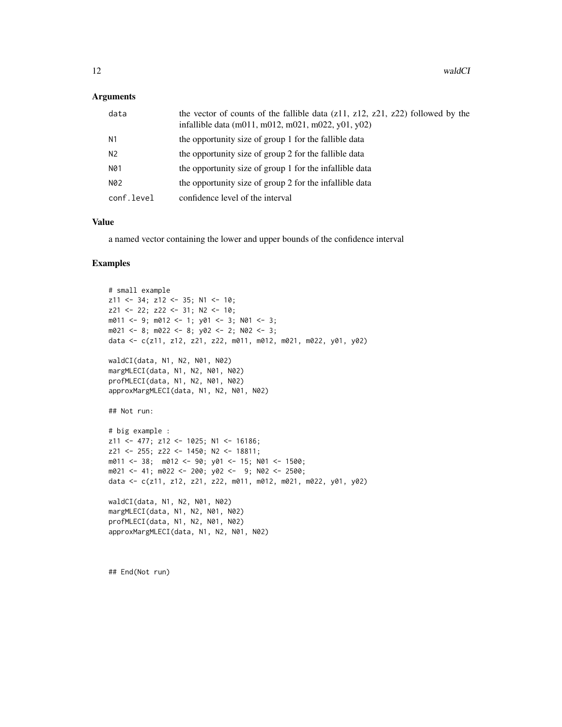#### **Arguments**

| data           | the vector of counts of the fallible data $(211, 212, 221, 222)$ followed by the<br>infallible data (m011, m012, m021, m022, y01, y02) |
|----------------|----------------------------------------------------------------------------------------------------------------------------------------|
| N1             | the opportunity size of group 1 for the fallible data                                                                                  |
| N <sub>2</sub> | the opportunity size of group 2 for the fallible data                                                                                  |
| N01            | the opportunity size of group 1 for the infallible data                                                                                |
| N02            | the opportunity size of group 2 for the infallible data                                                                                |
| conf.level     | confidence level of the interval                                                                                                       |

## Value

a named vector containing the lower and upper bounds of the confidence interval

#### Examples

```
# small example
z11 <- 34; z12 <- 35; N1 <- 10;
z21 <- 22; z22 <- 31; N2 <- 10;
m011 <- 9; m012 <- 1; y01 <- 3; N01 <- 3;
m021 <- 8; m022 <- 8; y02 <- 2; N02 <- 3;
data <- c(z11, z12, z21, z22, m011, m012, m021, m022, y01, y02)
waldCI(data, N1, N2, N01, N02)
margMLECI(data, N1, N2, N01, N02)
profMLECI(data, N1, N2, N01, N02)
approxMargMLECI(data, N1, N2, N01, N02)
## Not run:
# big example :
z11 <- 477; z12 <- 1025; N1 <- 16186;
z21 <- 255; z22 <- 1450; N2 <- 18811;
m011 <- 38; m012 <- 90; y01 <- 15; N01 <- 1500;
m021 <- 41; m022 <- 200; y02 <- 9; N02 <- 2500;
data <- c(z11, z12, z21, z22, m011, m012, m021, m022, y01, y02)
waldCI(data, N1, N2, N01, N02)
margMLECI(data, N1, N2, N01, N02)
profMLECI(data, N1, N2, N01, N02)
approxMargMLECI(data, N1, N2, N01, N02)
```
## End(Not run)